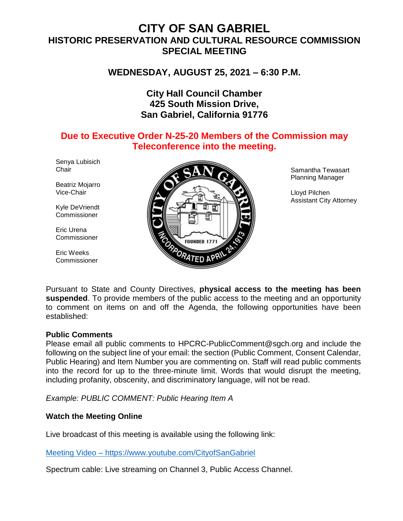# **CITY OF SAN GABRIEL HISTORIC PRESERVATION AND CULTURAL RESOURCE COMMISSION SPECIAL MEETING**

**WEDNESDAY, AUGUST 25, 2021 – 6:30 P.M.**

## **City Hall Council Chamber 425 South Mission Drive, San Gabriel, California 91776**

## **Due to Executive Order N-25-20 Members of the Commission may Teleconference into the meeting.**

Senya Lubisich **Chair** 

Beatriz Mojarro Vice-Chair

Kyle DeVriendt **Commissioner** 

Eric Urena Commissioner

Eric Weeks **Commissioner** 



Samantha Tewasart Planning Manager

Lloyd Pilchen Assistant City Attorney

Pursuant to State and County Directives, **physical access to the meeting has been suspended**. To provide members of the public access to the meeting and an opportunity to comment on items on and off the Agenda, the following opportunities have been established:

#### **Public Comments**

Please email all public comments to HPCRC-PublicComment@sgch.org and include the following on the subject line of your email: the section (Public Comment, Consent Calendar, Public Hearing) and Item Number you are commenting on. Staff will read public comments into the record for up to the three-minute limit. Words that would disrupt the meeting, including profanity, obscenity, and discriminatory language, will not be read.

*Example: PUBLIC COMMENT: Public Hearing Item A*

## **Watch the Meeting Online**

Live broadcast of this meeting is available using the following link:

[Meeting Video](https://www.youtube.com/cityofsangabriel) – https://www.youtube.com/CityofSanGabriel

Spectrum cable: Live streaming on Channel 3, Public Access Channel.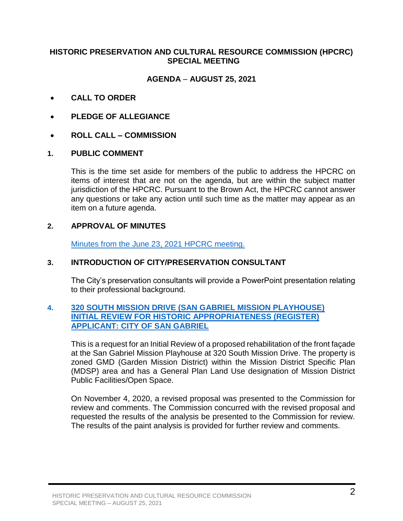### **HISTORIC PRESERVATION AND CULTURAL RESOURCE COMMISSION (HPCRC) SPECIAL MEETING**

## **AGENDA** – **AUGUST 25, 2021**

- **CALL TO ORDER**
- **PLEDGE OF ALLEGIANCE**
- **ROLL CALL – COMMISSION**

#### **1. PUBLIC COMMENT**

This is the time set aside for members of the public to address the HPCRC on items of interest that are not on the agenda, but are within the subject matter jurisdiction of the HPCRC. Pursuant to the Brown Act, the HPCRC cannot answer any questions or take any action until such time as the matter may appear as an item on a future agenda.

#### **2. APPROVAL OF MINUTES**

[Minutes from the June 23, 2021](https://www.sangabrielcity.com/DocumentCenter/View/15249/62321-Minutes-Draft) HPCRC meeting.

#### **3. INTRODUCTION OF CITY/PRESERVATION CONSULTANT**

The City's preservation consultants will provide a PowerPoint presentation relating to their professional background.

#### **4. 320 SOUTH [MISSION DRIVE \(SAN GABRIEL MISSION PLAYHOUSE\)](https://www.sangabrielcity.com/DocumentCenter/View/15247/Mission-Playhouse-Packet) [INITIAL REVIEW FOR HISTORIC APPROPRIATENESS \(REGISTER\)](https://www.sangabrielcity.com/DocumentCenter/View/15247/Mission-Playhouse-Packet) [APPLICANT: CITY OF SAN GABRIEL](https://www.sangabrielcity.com/DocumentCenter/View/15247/Mission-Playhouse-Packet)**

This is a request for an Initial Review of a proposed rehabilitation of the front façade at the San Gabriel Mission Playhouse at 320 South Mission Drive. The property is zoned GMD (Garden Mission District) within the Mission District Specific Plan (MDSP) area and has a General Plan Land Use designation of Mission District Public Facilities/Open Space.

On November 4, 2020, a revised proposal was presented to the Commission for review and comments. The Commission concurred with the revised proposal and requested the results of the analysis be presented to the Commission for review. The results of the paint analysis is provided for further review and comments.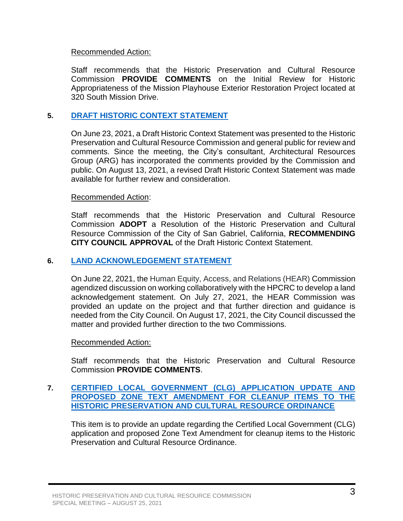#### Recommended Action:

Staff recommends that the Historic Preservation and Cultural Resource Commission **PROVIDE COMMENTS** on the Initial Review for Historic Appropriateness of the Mission Playhouse Exterior Restoration Project located at 320 South Mission Drive.

## **5. [DRAFT HISTORIC CONTEXT STATEMENT](https://www.sangabrielcity.com/DocumentCenter/View/15245/Draft-Historic-Context-Statement-Packet)**

On June 23, 2021, a Draft Historic Context Statement was presented to the Historic Preservation and Cultural Resource Commission and general public for review and comments. Since the meeting, the City's consultant, Architectural Resources Group (ARG) has incorporated the comments provided by the Commission and public. On August 13, 2021, a revised Draft Historic Context Statement was made available for further review and consideration.

#### Recommended Action:

Staff recommends that the Historic Preservation and Cultural Resource Commission **ADOPT** a Resolution of the Historic Preservation and Cultural Resource Commission of the City of San Gabriel, California, **RECOMMENDING CITY COUNCIL APPROVAL** of the Draft Historic Context Statement.

#### **6. [LAND ACKNOWLEDGEMENT STATEMENT](https://www.sangabrielcity.com/DocumentCenter/View/15246/Land-Acknowledgement-Statement-Packet)**

On June 22, 2021, the Human Equity, Access, and Relations (HEAR) Commission agendized discussion on working collaboratively with the HPCRC to develop a land acknowledgement statement. On July 27, 2021, the HEAR Commission was provided an update on the project and that further direction and guidance is needed from the City Council. On August 17, 2021, the City Council discussed the matter and provided further direction to the two Commissions.

#### Recommended Action:

Staff recommends that the Historic Preservation and Cultural Resource Commission **PROVIDE COMMENTS**.

#### **7. [CERTIFIED LOCAL GOVERNMENT \(CLG\) APPLICATION UPDATE AND](https://www.sangabrielcity.com/DocumentCenter/View/15248/ZTA-and-CLG-Packet)  [PROPOSED ZONE TEXT AMENDMENT FOR CLEANUP ITEMS TO THE](https://www.sangabrielcity.com/DocumentCenter/View/15248/ZTA-and-CLG-Packet)  [HISTORIC PRESERVATION AND CULTURAL RESOURCE ORDINANCE](https://www.sangabrielcity.com/DocumentCenter/View/15248/ZTA-and-CLG-Packet)**

This item is to provide an update regarding the Certified Local Government (CLG) application and proposed Zone Text Amendment for cleanup items to the Historic Preservation and Cultural Resource Ordinance.